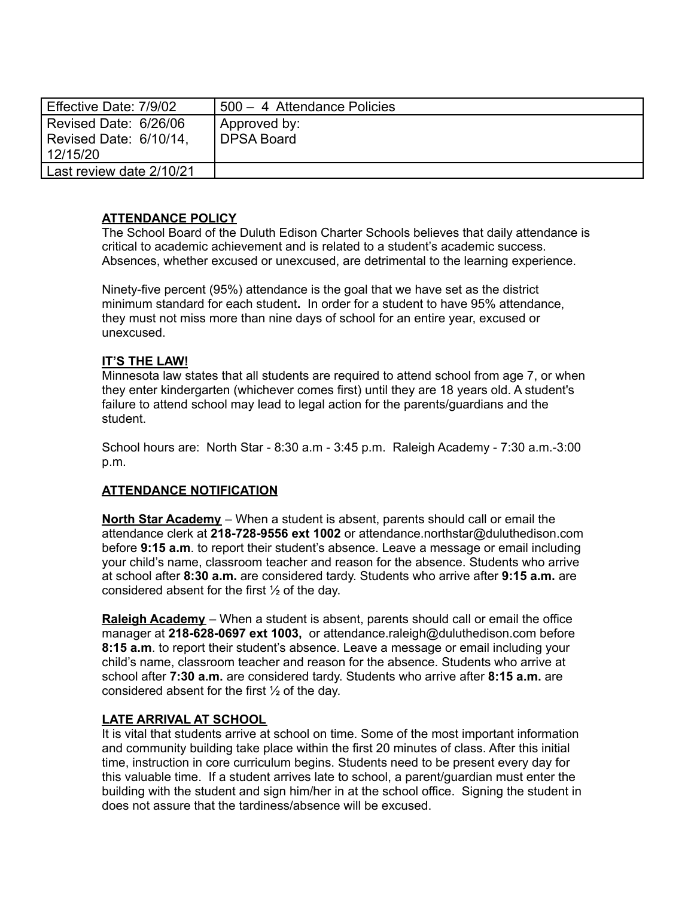| Effective Date: 7/9/02   | 500 - 4 Attendance Policies |
|--------------------------|-----------------------------|
| Revised Date: 6/26/06    | Approved by:                |
| Revised Date: 6/10/14,   | DPSA Board                  |
| 12/15/20                 |                             |
| Last review date 2/10/21 |                             |

# **ATTENDANCE POLICY**

The School Board of the Duluth Edison Charter Schools believes that daily attendance is critical to academic achievement and is related to a student's academic success. Absences, whether excused or unexcused, are detrimental to the learning experience.

Ninety-five percent (95%) attendance is the goal that we have set as the district minimum standard for each student**.** In order for a student to have 95% attendance, they must not miss more than nine days of school for an entire year, excused or unexcused.

#### **IT'S THE LAW!**

Minnesota law states that all students are required to attend school from age 7, or when they enter kindergarten (whichever comes first) until they are 18 years old. A student's failure to attend school may lead to legal action for the parents/guardians and the student.

School hours are: North Star - 8:30 a.m - 3:45 p.m. Raleigh Academy - 7:30 a.m.-3:00 p.m.

## **ATTENDANCE NOTIFICATION**

**North Star Academy** – When a student is absent, parents should call or email the attendance clerk at **218-728-9556 ext 1002** or attendance.northstar@duluthedison.com before **9:15 a.m**. to report their student's absence. Leave a message or email including your child's name, classroom teacher and reason for the absence. Students who arrive at school after **8:30 a.m.** are considered tardy. Students who arrive after **9:15 a.m.** are considered absent for the first  $\frac{1}{2}$  of the day.

**Raleigh Academy** – When a student is absent, parents should call or email the office manager at **218-628-0697 ext 1003,** or attendance.raleigh@duluthedison.com before **8:15 a.m**. to report their student's absence. Leave a message or email including your child's name, classroom teacher and reason for the absence. Students who arrive at school after **7:30 a.m.** are considered tardy. Students who arrive after **8:15 a.m.** are considered absent for the first ½ of the day.

#### **LATE ARRIVAL AT SCHOOL**

It is vital that students arrive at school on time. Some of the most important information and community building take place within the first 20 minutes of class. After this initial time, instruction in core curriculum begins. Students need to be present every day for this valuable time. If a student arrives late to school, a parent/guardian must enter the building with the student and sign him/her in at the school office. Signing the student in does not assure that the tardiness/absence will be excused.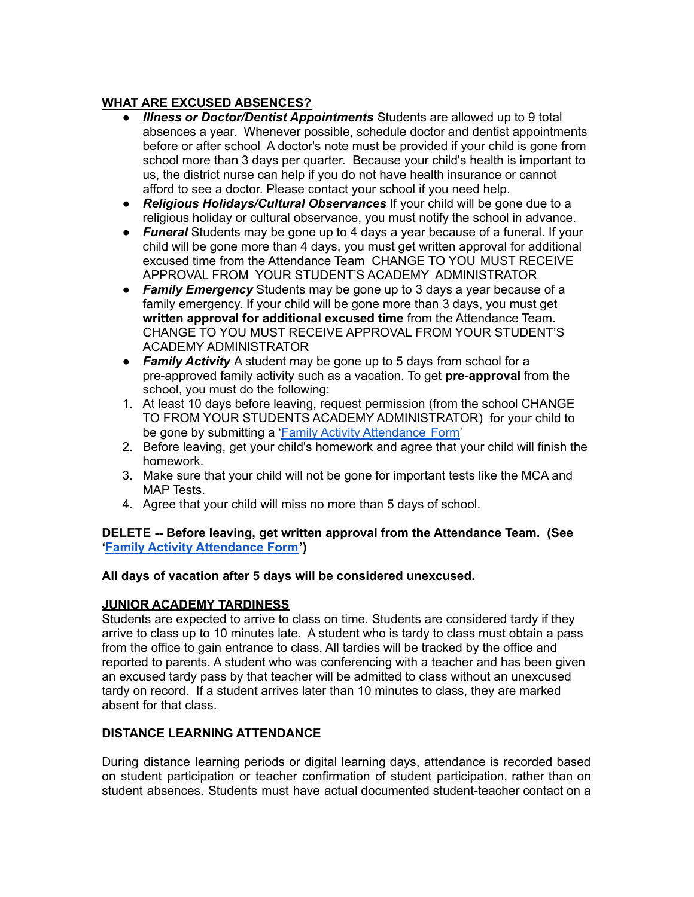## **WHAT ARE EXCUSED ABSENCES?**

- *Illness or Doctor/Dentist Appointments* Students are allowed up to 9 total absences a year. Whenever possible, schedule doctor and dentist appointments before or after school A doctor's note must be provided if your child is gone from school more than 3 days per quarter. Because your child's health is important to us, the district nurse can help if you do not have health insurance or cannot afford to see a doctor. Please contact your school if you need help.
- *Religious Holidays/Cultural Observances* If your child will be gone due to a religious holiday or cultural observance, you must notify the school in advance.
- *Funeral* Students may be gone up to 4 days a year because of a funeral. If your child will be gone more than 4 days, you must get written approval for additional excused time from the Attendance Team CHANGE TO YOU MUST RECEIVE APPROVAL FROM YOUR STUDENT'S ACADEMY ADMINISTRATOR
- *Family Emergency* Students may be gone up to 3 days a year because of a family emergency. If your child will be gone more than 3 days, you must get **written approval for additional excused time** from the Attendance Team. CHANGE TO YOU MUST RECEIVE APPROVAL FROM YOUR STUDENT'S ACADEMY ADMINISTRATOR
- *Family Activity* A student may be gone up to 5 days from school for a pre-approved family activity such as a vacation. To get **pre-approval** from the school, you must do the following:
- 1. At least 10 days before leaving, request permission (from the school CHANGE TO FROM YOUR STUDENTS ACADEMY ADMINISTRATOR) for your child to be gone by submitting a 'Family Activity [Attendance](http://burroughs.mpls.k12.mn.us/uploads/family_20activity_20form_3.pdf) Form'
- 2. Before leaving, get your child's homework and agree that your child will finish the homework.
- 3. Make sure that your child will not be gone for important tests like the MCA and MAP Tests.
- 4. Agree that your child will miss no more than 5 days of school.

## **DELETE -- Before leaving, get written approval from the Attendance Team. (See 'Family Activity [Attendance](http://burroughs.mpls.k12.mn.us/uploads/family_20activity_20form_3.pdf) Form')**

## **All days of vacation after 5 days will be considered unexcused.**

# **JUNIOR ACADEMY TARDINESS**

Students are expected to arrive to class on time. Students are considered tardy if they arrive to class up to 10 minutes late. A student who is tardy to class must obtain a pass from the office to gain entrance to class. All tardies will be tracked by the office and reported to parents. A student who was conferencing with a teacher and has been given an excused tardy pass by that teacher will be admitted to class without an unexcused tardy on record. If a student arrives later than 10 minutes to class, they are marked absent for that class.

## **DISTANCE LEARNING ATTENDANCE**

During distance learning periods or digital learning days, attendance is recorded based on student participation or teacher confirmation of student participation, rather than on student absences. Students must have actual documented student-teacher contact on a